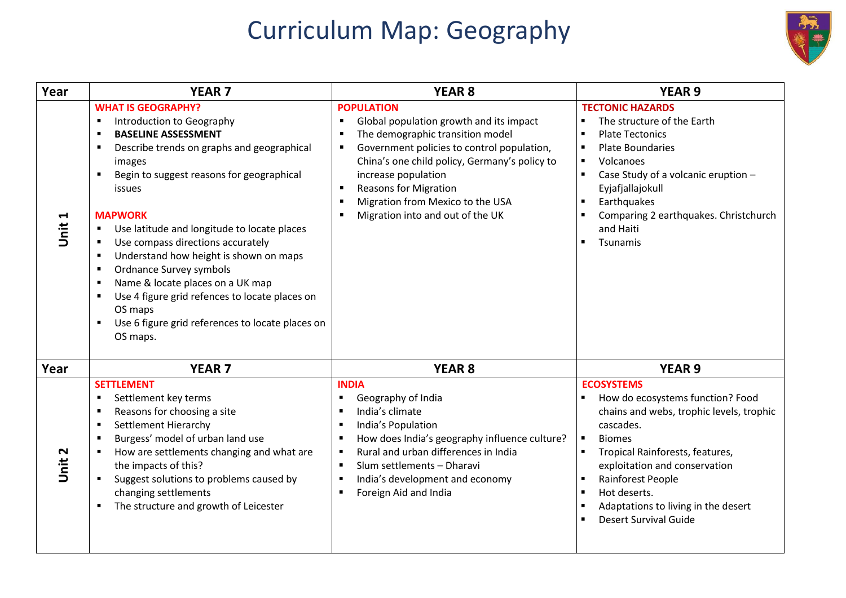## Curriculum Map: Geography



| Year                          | <b>YEAR 7</b>                                                                                                                                                                                                                                                                                                                                                                                                                                                                                                                                                                                                                                                                                                                                         | <b>YEAR 8</b>                                                                                                                                                                                                                                                                                                                                                                                                    | <b>YEAR 9</b>                                                                                                                                                                                                                                                                                                                                                 |
|-------------------------------|-------------------------------------------------------------------------------------------------------------------------------------------------------------------------------------------------------------------------------------------------------------------------------------------------------------------------------------------------------------------------------------------------------------------------------------------------------------------------------------------------------------------------------------------------------------------------------------------------------------------------------------------------------------------------------------------------------------------------------------------------------|------------------------------------------------------------------------------------------------------------------------------------------------------------------------------------------------------------------------------------------------------------------------------------------------------------------------------------------------------------------------------------------------------------------|---------------------------------------------------------------------------------------------------------------------------------------------------------------------------------------------------------------------------------------------------------------------------------------------------------------------------------------------------------------|
| Н<br><b>Jnit</b>              | <b>WHAT IS GEOGRAPHY?</b><br>Introduction to Geography<br>$\blacksquare$<br><b>BASELINE ASSESSMENT</b><br>$\blacksquare$<br>Describe trends on graphs and geographical<br>$\blacksquare$<br>images<br>Begin to suggest reasons for geographical<br>$\blacksquare$<br>issues<br><b>MAPWORK</b><br>Use latitude and longitude to locate places<br>$\blacksquare$<br>Use compass directions accurately<br>$\blacksquare$<br>Understand how height is shown on maps<br>$\blacksquare$<br>Ordnance Survey symbols<br>$\blacksquare$<br>Name & locate places on a UK map<br>$\blacksquare$<br>Use 4 figure grid refences to locate places on<br>$\blacksquare$<br>OS maps<br>Use 6 figure grid references to locate places on<br>$\blacksquare$<br>OS maps. | <b>POPULATION</b><br>Global population growth and its impact<br>$\blacksquare$<br>The demographic transition model<br>$\blacksquare$<br>Government policies to control population,<br>$\blacksquare$<br>China's one child policy, Germany's policy to<br>increase population<br><b>Reasons for Migration</b><br>$\blacksquare$<br>Migration from Mexico to the USA<br>×<br>Migration into and out of the UK<br>л | <b>TECTONIC HAZARDS</b><br>The structure of the Earth<br><b>Plate Tectonics</b><br>$\blacksquare$<br><b>Plate Boundaries</b><br>$\blacksquare$<br>Volcanoes<br>$\blacksquare$<br>Case Study of a volcanic eruption -<br>$\blacksquare$<br>Eyjafjallajokull<br>Earthquakes<br>Comparing 2 earthquakes. Christchurch<br>and Haiti<br>Tsunamis<br>$\blacksquare$ |
| Year                          | <b>YEAR 7</b>                                                                                                                                                                                                                                                                                                                                                                                                                                                                                                                                                                                                                                                                                                                                         | <b>YEAR 8</b>                                                                                                                                                                                                                                                                                                                                                                                                    | <b>YEAR 9</b>                                                                                                                                                                                                                                                                                                                                                 |
| $\mathbf{\mathsf{N}}$<br>Jnit | <b>SETTLEMENT</b><br>Settlement key terms<br>٠<br>Reasons for choosing a site<br>$\blacksquare$<br>Settlement Hierarchy<br>$\blacksquare$<br>Burgess' model of urban land use<br>$\blacksquare$<br>How are settlements changing and what are<br>$\blacksquare$<br>the impacts of this?<br>Suggest solutions to problems caused by<br>changing settlements<br>The structure and growth of Leicester<br>$\blacksquare$                                                                                                                                                                                                                                                                                                                                  | <b>INDIA</b><br>Geography of India<br>п<br>India's climate<br>$\blacksquare$<br>India's Population<br>$\blacksquare$<br>How does India's geography influence culture?<br>п<br>Rural and urban differences in India<br>$\blacksquare$<br>Slum settlements - Dharavi<br>$\blacksquare$<br>India's development and economy<br>$\blacksquare$<br>Foreign Aid and India<br>п                                          | <b>ECOSYSTEMS</b><br>How do ecosystems function? Food<br>chains and webs, trophic levels, trophic<br>cascades.<br>$\blacksquare$<br><b>Biomes</b><br>Tropical Rainforests, features,<br>exploitation and conservation<br>Rainforest People<br>Hot deserts.<br>п<br>Adaptations to living in the desert<br>п<br><b>Desert Survival Guide</b>                   |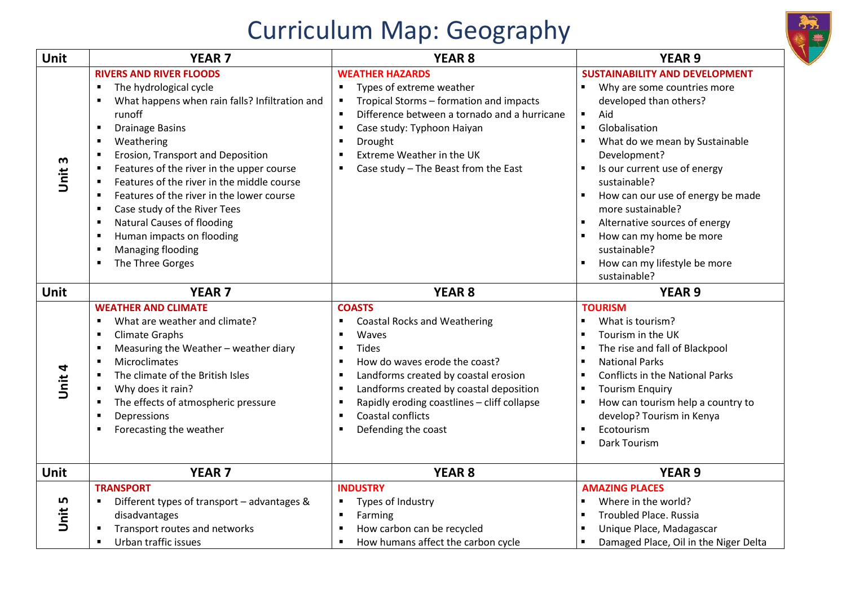## Curriculum Map: Geography



| Unit               | <b>YEAR 7</b>                                                                                                                                                                                                                                                                                                                                                                                                                                                                                                                                                                                                                                                                                        | <b>YEAR 8</b>                                                                                                                                                                                                                                                                                                                                                                                                                                | <b>YEAR 9</b>                                                                                                                                                                                                                                                                                                                                                                                                                    |
|--------------------|------------------------------------------------------------------------------------------------------------------------------------------------------------------------------------------------------------------------------------------------------------------------------------------------------------------------------------------------------------------------------------------------------------------------------------------------------------------------------------------------------------------------------------------------------------------------------------------------------------------------------------------------------------------------------------------------------|----------------------------------------------------------------------------------------------------------------------------------------------------------------------------------------------------------------------------------------------------------------------------------------------------------------------------------------------------------------------------------------------------------------------------------------------|----------------------------------------------------------------------------------------------------------------------------------------------------------------------------------------------------------------------------------------------------------------------------------------------------------------------------------------------------------------------------------------------------------------------------------|
| Unit 3             | <b>RIVERS AND RIVER FLOODS</b><br>$\blacksquare$<br>The hydrological cycle<br>What happens when rain falls? Infiltration and<br>$\blacksquare$<br>runoff<br><b>Drainage Basins</b><br>$\blacksquare$<br>Weathering<br>$\blacksquare$<br>Erosion, Transport and Deposition<br>$\blacksquare$<br>Features of the river in the upper course<br>$\blacksquare$<br>Features of the river in the middle course<br>п<br>Features of the river in the lower course<br>$\blacksquare$<br>Case study of the River Tees<br>$\blacksquare$<br><b>Natural Causes of flooding</b><br>$\blacksquare$<br>Human impacts on flooding<br>$\blacksquare$<br>Managing flooding<br>$\blacksquare$<br>The Three Gorges<br>п | <b>WEATHER HAZARDS</b><br>Types of extreme weather<br>$\blacksquare$<br>Tropical Storms - formation and impacts<br>$\blacksquare$<br>Difference between a tornado and a hurricane<br>$\blacksquare$<br>Case study: Typhoon Haiyan<br>$\blacksquare$<br>$\blacksquare$<br>Drought<br>Extreme Weather in the UK<br>$\blacksquare$<br>Case study - The Beast from the East<br>$\blacksquare$                                                    | <b>SUSTAINABILITY AND DEVELOPMENT</b><br>Why are some countries more<br>developed than others?<br>Aid<br>Globalisation<br>$\blacksquare$<br>What do we mean by Sustainable<br>Development?<br>Is our current use of energy<br>sustainable?<br>How can our use of energy be made<br>more sustainable?<br>Alternative sources of energy<br>How can my home be more<br>sustainable?<br>How can my lifestyle be more<br>sustainable? |
| <b>Unit</b>        | <b>YEAR 7</b>                                                                                                                                                                                                                                                                                                                                                                                                                                                                                                                                                                                                                                                                                        | <b>YEAR 8</b>                                                                                                                                                                                                                                                                                                                                                                                                                                | <b>YEAR 9</b>                                                                                                                                                                                                                                                                                                                                                                                                                    |
| Unit 4             | <b>WEATHER AND CLIMATE</b><br>What are weather and climate?<br>$\blacksquare$<br><b>Climate Graphs</b><br>$\blacksquare$<br>Measuring the Weather - weather diary<br>$\blacksquare$<br>Microclimates<br>$\blacksquare$<br>The climate of the British Isles<br>$\blacksquare$<br>Why does it rain?<br>٠<br>The effects of atmospheric pressure<br>٠<br>Depressions<br>$\blacksquare$<br>Forecasting the weather<br>п                                                                                                                                                                                                                                                                                  | <b>COASTS</b><br><b>Coastal Rocks and Weathering</b><br>Waves<br>$\blacksquare$<br><b>Tides</b><br>$\blacksquare$<br>How do waves erode the coast?<br>$\blacksquare$<br>Landforms created by coastal erosion<br>$\blacksquare$<br>Landforms created by coastal deposition<br>$\blacksquare$<br>Rapidly eroding coastlines - cliff collapse<br>$\blacksquare$<br>Coastal conflicts<br>$\blacksquare$<br>Defending the coast<br>$\blacksquare$ | <b>TOURISM</b><br>What is tourism?<br>Tourism in the UK<br>The rise and fall of Blackpool<br><b>National Parks</b><br>Conflicts in the National Parks<br><b>Tourism Enquiry</b><br>How can tourism help a country to<br>develop? Tourism in Kenya<br>Ecotourism<br>Dark Tourism                                                                                                                                                  |
| Unit               | <b>YEAR 7</b>                                                                                                                                                                                                                                                                                                                                                                                                                                                                                                                                                                                                                                                                                        | <b>YEAR 8</b>                                                                                                                                                                                                                                                                                                                                                                                                                                | <b>YEAR 9</b>                                                                                                                                                                                                                                                                                                                                                                                                                    |
| LN,<br><b>Jnit</b> | <b>TRANSPORT</b><br>Different types of transport - advantages &<br>$\blacksquare$<br>disadvantages<br>Transport routes and networks<br>٠<br>Urban traffic issues<br>$\blacksquare$                                                                                                                                                                                                                                                                                                                                                                                                                                                                                                                   | <b>INDUSTRY</b><br>Types of Industry<br>п<br>Farming<br>$\blacksquare$<br>How carbon can be recycled<br>$\blacksquare$<br>How humans affect the carbon cycle                                                                                                                                                                                                                                                                                 | <b>AMAZING PLACES</b><br>Where in the world?<br><b>Troubled Place. Russia</b><br>Unique Place, Madagascar<br>Damaged Place, Oil in the Niger Delta                                                                                                                                                                                                                                                                               |